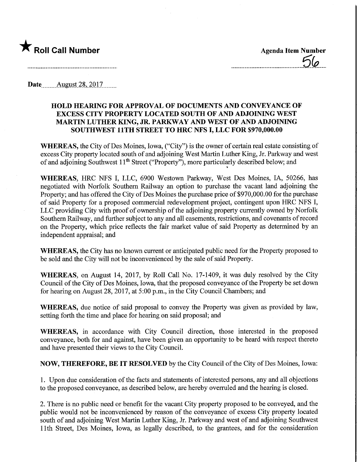

**Date** August 28, 2017

## HOLD HEARING FOR APPROVAL OF DOCUMENTS AND CONVEYANCE OF EXCESS CITY PROPERTY LOCATED SOUTH OF AND ADJOINING WEST MARTIN LUTHER KING, JR. PARKWAY AND WEST OF AND ADJOINING SOUTHWEST 11TH STREET TO HRC NFS I, LLC FOR \$970,000.00

WHEREAS, the City of Des Moines, Iowa, ("City") is the owner of certain real estate consisting of excess City property located south of and adjoining West Martin Luther King, Jr. Parkway and west of and adjoining Southwest 11<sup>th</sup> Street ("Property"), more particularly described below; and »•

WHEREAS, HRC NFS I, LLC, 6900 Westown Parkway, West Des Moines, IA, 50266, has negotiated with Norfolk Southern Railway an option to purchase the vacant land adjoining the Property; and has offered the City of Des Moines the purchase price of \$970,000.00 for the purchase of said Property for a proposed commercial redevelopment project, contingent upon HRC NFS I, LLC providing City with proof of ownership of the adjoining property currently owned by Norfolk Southern Railway, and further subject to any and all easements, restrictions, and covenants of record on the Property, which price reflects the fair market value of said Property as determined by an independent appraisal; and

WHEREAS, the City has no known current or anticipated public need for the Property proposed to be sold and the City will not be inconvenienced by the sale of said Property.

WHEREAS, on August 14, 2017, by Roll Call No. 17-1409, it was duly resolved by the City Council of the City of Des Moines, Iowa, that the proposed conveyance of the Property be set down for hearing on August 28, 2017, at 5:00 p.m., in the City Council Chambers; and

WHEREAS, due notice of said proposal to convey the Property was given as provided by law, setting forth the time and place for hearing on said proposal; and

WHEREAS, in accordance with City Council direction, those interested in the proposed conveyance, both for and against, have been given an opportunity to be heard with respect thereto and have presented their views to the City Council.

NOW, THEREFORE, BE IT RESOLVED by the City Council of the City of Des Moines, Iowa:

1. Upon due consideration of the facts and statements of interested persons, any and all objections to the proposed conveyance, as described below, are hereby overruled and the hearing is closed.

2. There is no public need or benefit for the vacant City property proposed to be conveyed, and the public would not be inconvenienced by reason of the conveyance of excess City property located south of and adjoining West Martin Luther King, Jr. Parkway and west of and adjoining Southwest 11th Street, Des Moines, Iowa, as legally described, to the grantees, and for the consideration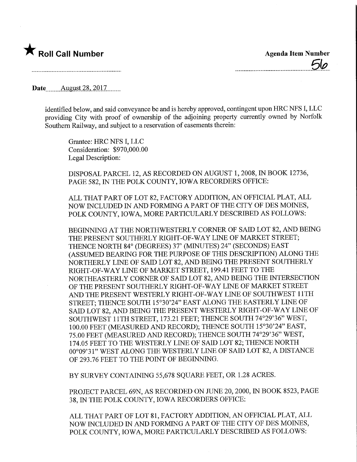

Date ........August 28,2017.

identified below, and said conveyance be and is hereby approved, contingent upon HRC NFS I, LLC providing City with proof of ownership of the adjoining property currently owned by Norfolk Southern Railway, and subject to a reservation of easements therein:

Grantee: HRC NFS I, LLC Consideration: \$970,000.00 Legal Description:

DISPOSAL PARCEL 12, AS RECORDED ON AUGUST 1, 2008, IN BOOK 12736, PAGE 582, IN THE POLK COUNTY, IOWA RECORDERS OFFICE:

ALL THAT PART OF LOT 82, FACTORY ADDITION, AN OFFICIAL PLAT, ALL NOW INCLUDED IN AND FORMING A PART OF THE CITY OF DES MOINES, POLK COUNTY, IOWA, MORE PARTICULARLY DESCRIBED AS FOLLOWS:

BEGINNING AT THE NORTHWESTERLY CORNER OF SAID LOT 82, AND BEING THE PRESENT SOUTHERLY RIGHT-OF-WAY LINE OF MARKET STREET; THENCE NORTH 84° (DEGREES) 37' (MINUTES) 24" (SECONDS) EAST (ASSUMED BEARING FOR THE PURPOSE OF THIS DESCRIPTION) ALONG THE NORTHERLY LINE OF SAID LOT 82, AND BEING THE PRESENT SOUTHERLY RIGHT-OF-WAY LINE OF MARKET STREET, 199.41 FEET TO THE NORTHEASTERLY CORNER OF SAID LOT 82, AND BEING THE INTERSECTION OF THE PRESENT SOUTHERLY RIGHT-OF-WAY LINE OF MARKET STREET AND THE PRESENT WESTERLY RIGHT-OF-WAY LINE OF SOUTHWEST 11TH STREET; THENCE SOUTH 15°30'24" EAST ALONG THE EASTERLY LINE OF SAID LOT 82, AND BEING THE PRESENT WESTERLY RIGHT-OF-WAY LINE OF SOUTHWEST 11TH STREET, 173.21 FEET; THENCE SOUTH 74°29'36" WEST, 100.00 FEET (MEASURED AND RECORD); THENCE SOUTH 15°30'24" EAST, 75.00 FEET (MEASURED AND RECORD); THENCE SOUTH 74°29'36" WEST, 174.05 FEET TO THE WESTERLY LINE OF SAID LOT 82; THENCE NORTH 00°09'31" WEST ALONG THE WESTERLY LINE OF SAID LOT 82, A DISTANCE OF 293.76 FEET TO THE POINT OF BEGINNING.

BY SURVEY CONTAINING 55,678 SQUARE FEET, OR 1.28 ACRES.

PROJECT PARCEL 69N, AS RECORDED ON JUNE 20, 2000, IN BOOK 8523, PAGE 38, IN THE POLK COUNTY, IOWA RECORDERS OFFICE:

ALL THAT PART OF LOT 81, FACTORY ADDITION, AN OFFICIAL PLAT, ALL NOW INCLUDED IN AND FORMING A PART OF THE CITY OF DES MOINES, POLK COUNTY, IOWA, MORE PARTICULARLY DESCRIBED AS FOLLOWS: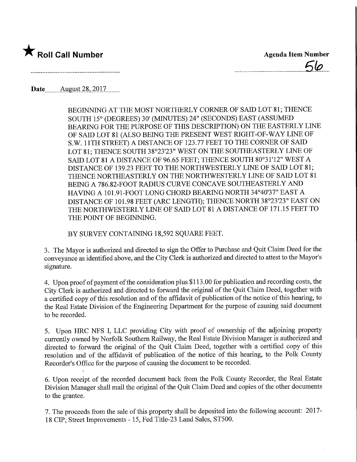

 $\mathcal{L}$ 

Date......,Augyst.28,2Q17.

BEGINNING AT THE MOST NORTHERLY CORNER OF SAID LOT 81; THENCE SOUTH 15° (DEGREES) 30' (MINUTES) 24" (SECONDS) EAST (ASSUMED BEARING FOR THE PURPOSE OF THIS DESCRIPTION) ON THE EASTERLY LINE OF SAID LOT 81 (ALSO BEING THE PRESENT WEST RIGHT-OF-WAY LINE OF S.W. 11TH STREET) A DISTANCE OF 123.77 FEET TO THE CORNER OF SAID LOT 81; THENCE SOUTH 38°23'23" WEST ON THE SOUTHEASTERLY LINE OF SAID LOT 81 A DISTANCE OF 96.65 FEET; THENCE SOUTH 80°31'12" WEST A DISTANCE OF 139.23 FEET TO THE NORTHWESTERLY LINE OF SAID LOT 81; THENCE NORTHEASTERLY ON THE NORTHWESTERLY LINE OF SAID LOT 81 BEING A 786.82-FOOT RADIUS CURVE CONCAVE SOUTHEASTERLY AND HAVING A 101.91-FOOT LONG CHORD BEARING NORTH 34°40'37" EAST A DISTANCE OF 101.98 FEET (ARC LENGTH); THENCE NORTH 38°23'23" EAST ON THE NORTHWESTERLY LINE OF SAID LOT 81 A DISTANCE OF 171.15 FEET TO THE POINT OF BEGINNING.

BY SURVEY CONTAINING 18,592 SQUARE FEET.

3. The Mayor is authorized and directed to sign the Offer to Purchase and Quit Claim Deed for the conveyance as identified above, and the City Clerk is authorized and directed to attest to the Mayor's signature.

4. Upon proof of payment of the consideration plus \$113.00 for publication and recording costs, the City Clerk is authorized and directed to forward the original of the Quit Claim Deed, together with a certified copy of this resolution and of the affidavit of publication of the notice of this hearing, to the Real Estate Division of the Engineering Department for the purpose of causing said document to be recorded.

5. Upon HRC NFS I, LLC providing City with proof of ownership of the adjoining property currently owned by Norfolk Southern Railway, the Real Estate Division Manager is authorized and directed to forward the original of the Quit Claim Deed, together with a certified copy of this resolution and of the affidavit of publication of the notice of this hearing, to the Polk County Recorder's Office for the purpose of causing the document to be recorded.

6. Upon receipt of the recorded document back from the Polk County Recorder, the Real Estate Division Manager shall mail the original of the Quit Claim Deed and copies of the other documents to the grantee.

7. The proceeds from the sale of this property shall be deposited into the following account: 2017- 18 CIP, Street Improvements - 15, Fed Title-23 Land Sales, ST500.